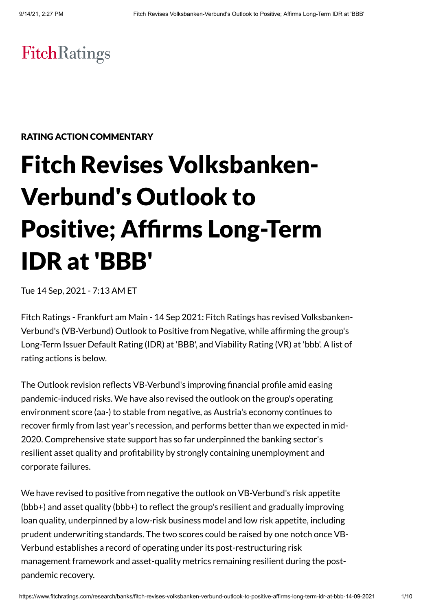## FitchRatings

## RATING ACTION COMMENTARY

# Fitch Revises Volksbanken-Verbund's Outlook to Positive; Affirms Long-Term IDR at 'BBB'

Tue 14 Sep, 2021 - 7:13 AM ET

Fitch Ratings - Frankfurt am Main - 14 Sep 2021: Fitch Ratings has revised Volksbanken-Verbund's (VB-Verbund) Outlook to Positive from Negative, while affirming the group's Long-Term Issuer Default Rating (IDR) at 'BBB', and Viability Rating (VR) at 'bbb'. A list of rating actions is below.

The Outlook revision reflects VB-Verbund's improving financial profile amid easing pandemic-induced risks. We have also revised the outlook on the group's operating environment score (aa-) to stable from negative, as Austria's economy continues to recover firmly from last year's recession, and performs better than we expected in mid-2020. Comprehensive state support has so far underpinned the banking sector's resilient asset quality and profitability by strongly containing unemployment and corporate failures.

We have revised to positive from negative the outlook on VB-Verbund's risk appetite (bbb+) and asset quality (bbb+) to reflect the group's resilient and gradually improving loan quality, underpinned by a low-risk business model and low risk appetite, including prudent underwriting standards. The two scores could be raised by one notch once VB-Verbund establishes a record of operating under its post-restructuring risk management framework and asset-quality metrics remaining resilient during the postpandemic recovery.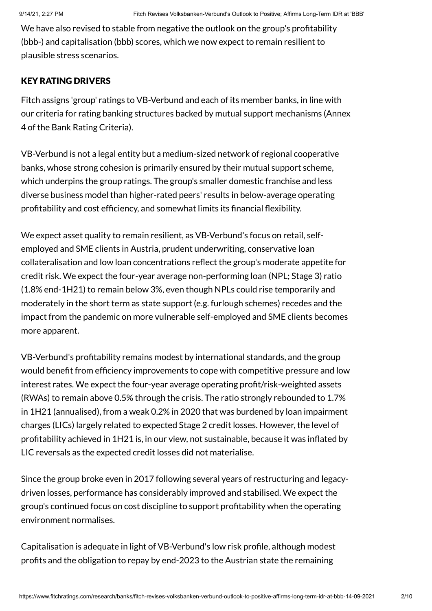We have also revised to stable from negative the outlook on the group's profitability (bbb-) and capitalisation (bbb) scores, which we now expect to remain resilient to plausible stress scenarios.

## KEY RATING DRIVERS

Fitch assigns 'group' ratings to VB-Verbund and each of its member banks, in line with our criteria for rating banking structures backed by mutual support mechanisms (Annex 4 of the Bank Rating Criteria).

VB-Verbund is not a legal entity but a medium-sized network of regional cooperative banks, whose strong cohesion is primarily ensured by their mutual support scheme, which underpins the group ratings. The group's smaller domestic franchise and less diverse business model than higher-rated peers' results in below-average operating profitability and cost efficiency, and somewhat limits its financial flexibility.

We expect asset quality to remain resilient, as VB-Verbund's focus on retail, selfemployed and SME clients in Austria, prudent underwriting, conservative loan collateralisation and low loan concentrations reflect the group's moderate appetite for credit risk. We expect the four-year average non-performing loan (NPL; Stage 3) ratio (1.8% end-1H21) to remain below 3%, even though NPLs could rise temporarily and moderately in the short term as state support (e.g. furlough schemes) recedes and the impact from the pandemic on more vulnerable self-employed and SME clients becomes more apparent.

VB-Verbund's profitability remains modest by international standards, and the group would benefit from efficiency improvements to cope with competitive pressure and low interest rates. We expect the four-year average operating profit/risk-weighted assets (RWAs) to remain above 0.5% through the crisis. The ratio strongly rebounded to 1.7% in 1H21 (annualised), from a weak 0.2% in 2020 that was burdened by loan impairment charges (LICs) largely related to expected Stage 2 credit losses. However, the level of profitability achieved in 1H21 is, in our view, not sustainable, because it was inflated by LIC reversals as the expected credit losses did not materialise.

Since the group broke even in 2017 following several years of restructuring and legacydriven losses, performance has considerably improved and stabilised. We expect the group's continued focus on cost discipline to support profitability when the operating environment normalises.

Capitalisation is adequate in light of VB-Verbund's low risk profile, although modest profits and the obligation to repay by end-2023 to the Austrian state the remaining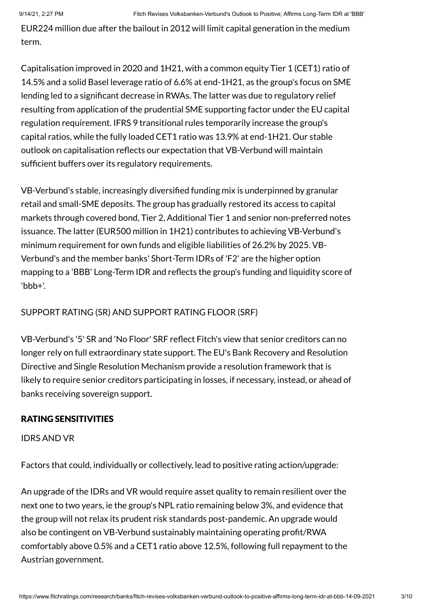EUR224 million due after the bailout in 2012 will limit capital generation in the medium term.

Capitalisation improved in 2020 and 1H21, with a common equity Tier 1 (CET1) ratio of 14.5% and a solid Basel leverage ratio of 6.6% at end-1H21, as the group's focus on SME lending led to a significant decrease in RWAs. The latter was due to regulatory relief resulting from application of the prudential SME supporting factor under the EU capital regulation requirement. IFRS 9 transitional rules temporarily increase the group's capital ratios, while the fully loaded CET1 ratio was 13.9% at end-1H21. Our stable outlook on capitalisation reflects our expectation that VB-Verbund will maintain sufficient buffers over its regulatory requirements.

VB-Verbund's stable, increasingly diversified funding mix is underpinned by granular retail and small-SME deposits. The group has gradually restored its access to capital markets through covered bond, Tier 2, Additional Tier 1 and senior non-preferred notes issuance. The latter (EUR500 million in 1H21) contributes to achieving VB-Verbund's minimum requirement for own funds and eligible liabilities of 26.2% by 2025. VB-Verbund's and the member banks' Short-Term IDRs of 'F2' are the higher option mapping to a 'BBB' Long-Term IDR and reflects the group's funding and liquidity score of 'bbb+'.

## SUPPORT RATING (SR) AND SUPPORT RATING FLOOR (SRF)

VB-Verbund's '5' SR and 'No Floor' SRF reflect Fitch's view that senior creditors can no longer rely on full extraordinary state support. The EU's Bank Recovery and Resolution Directive and Single Resolution Mechanism provide a resolution framework that is likely to require senior creditors participating in losses, if necessary, instead, or ahead of banks receiving sovereign support.

## RATING SENSITIVITIES

## IDRS AND VR

Factors that could, individually or collectively, lead to positive rating action/upgrade:

An upgrade of the IDRs and VR would require asset quality to remain resilient over the next one to two years, ie the group's NPL ratio remaining below 3%, and evidence that the group will not relax its prudent risk standards post-pandemic. An upgrade would also be contingent on VB-Verbund sustainably maintaining operating profit/RWA comfortably above 0.5% and a CET1 ratio above 12.5%, following full repayment to the Austrian government.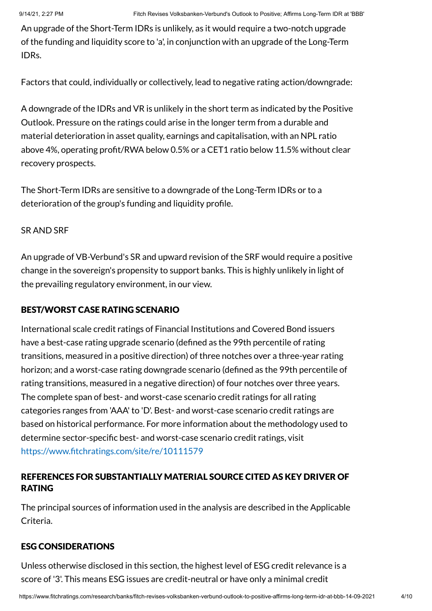An upgrade of the Short-Term IDRs is unlikely, as it would require a two-notch upgrade of the funding and liquidity score to 'a', in conjunction with an upgrade of the Long-Term IDRs.

Factors that could, individually or collectively, lead to negative rating action/downgrade:

A downgrade of the IDRs and VR is unlikely in the short term as indicated by the Positive Outlook. Pressure on the ratings could arise in the longer term from a durable and material deterioration in asset quality, earnings and capitalisation, with an NPL ratio above 4%, operating profit/RWA below 0.5% or a CET1 ratio below 11.5% without clear recovery prospects.

The Short-Term IDRs are sensitive to a downgrade of the Long-Term IDRs or to a deterioration of the group's funding and liquidity profile.

## SR AND SRF

An upgrade of VB-Verbund's SR and upward revision of the SRF would require a positive change in the sovereign's propensity to support banks. This is highly unlikely in light of the prevailing regulatory environment, in our view.

## BEST/WORST CASE RATING SCENARIO

International scale credit ratings of Financial Institutions and Covered Bond issuers have a best-case rating upgrade scenario (defined as the 99th percentile of rating transitions, measured in a positive direction) of three notches over a three-year rating horizon; and a worst-case rating downgrade scenario (defined as the 99th percentile of rating transitions, measured in a negative direction) of four notches over three years. The complete span of best- and worst-case scenario credit ratings for all rating categories ranges from 'AAA' to 'D'. Best- and worst-case scenario credit ratings are based on historical performance. For more information about the methodology used to determine sector-specific best- and worst-case scenario credit ratings, visit <https://www.fitchratings.com/site/re/10111579>

## REFERENCES FOR SUBSTANTIALLY MATERIAL SOURCE CITED AS KEY DRIVER OF RATING

The principal sources of information used in the analysis are described in the Applicable Criteria.

## ESG CONSIDERATIONS

Unless otherwise disclosed in this section, the highest level of ESG credit relevance is a score of '3'. This means ESG issues are credit-neutral or have only a minimal credit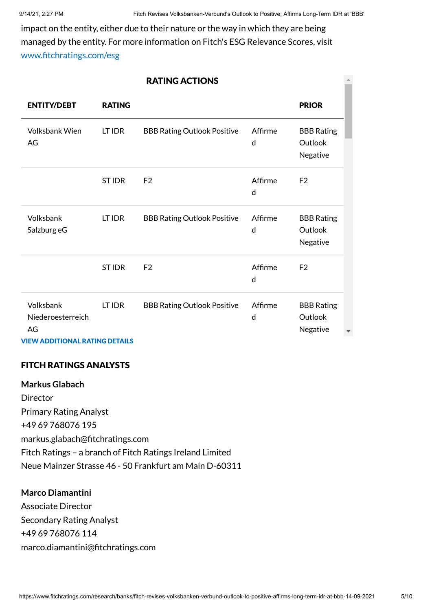impact on the entity, either due to their nature or the way in which they are being managed by the entity. For more information on Fitch's ESG Relevance Scores, visit [www.fitchratings.com/esg](http://www.fitchratings.com/esg)

| <b>RATING ACTIONS</b>                |               |                                    |              |                                          |  |
|--------------------------------------|---------------|------------------------------------|--------------|------------------------------------------|--|
| <b>ENTITY/DEBT</b>                   | <b>RATING</b> |                                    |              | <b>PRIOR</b>                             |  |
| <b>Volksbank Wien</b><br>AG          | LT IDR        | <b>BBB Rating Outlook Positive</b> | Affirme<br>d | <b>BBB Rating</b><br>Outlook<br>Negative |  |
|                                      | <b>STIDR</b>  | F <sub>2</sub>                     | Affirme<br>d | F <sub>2</sub>                           |  |
| Volksbank<br>Salzburg eG             | LT IDR        | <b>BBB Rating Outlook Positive</b> | Affirme<br>d | <b>BBB Rating</b><br>Outlook<br>Negative |  |
|                                      | <b>STIDR</b>  | F <sub>2</sub>                     | Affirme<br>d | F <sub>2</sub>                           |  |
| Volksbank<br>Niederoesterreich<br>AG | LT IDR        | <b>BBB Rating Outlook Positive</b> | Affirme<br>d | <b>BBB Rating</b><br>Outlook<br>Negative |  |

VIEW ADDITIONAL RATING DETAILS

## FITCH RATINGS ANALYSTS

**Markus Glabach** Director Primary Rating Analyst +49 69 768076 195 markus.glabach@fitchratings.com Fitch Ratings – a branch of Fitch Ratings Ireland Limited Neue Mainzer Strasse 46 - 50 Frankfurt am Main D-60311

## **Marco Diamantini**

Associate Director Secondary Rating Analyst +49 69 768076 114 marco.diamantini@fitchratings.com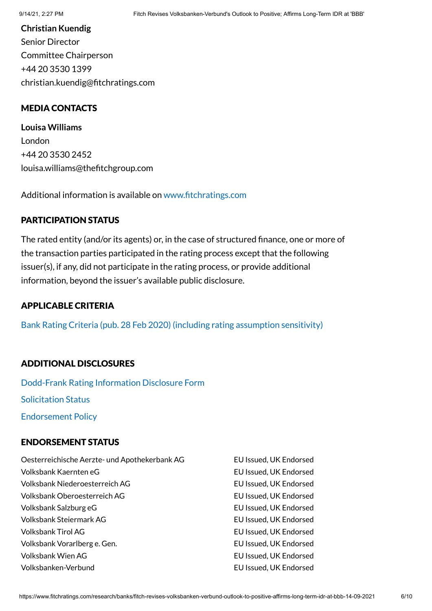## **Christian Kuendig** Senior Director Committee Chairperson +44 20 3530 1399 christian.kuendig@fitchratings.com

## MEDIA CONTACTS

**Louisa Williams** London +44 20 3530 2452 louisa.williams@thefitchgroup.com

Additional information is available on [www.fitchratings.com](http://www.fitchratings.com/)

## PARTICIPATION STATUS

The rated entity (and/or its agents) or, in the case of structured finance, one or more of the transaction parties participated in the rating process except that the following issuer(s), if any, did not participate in the rating process, or provide additional information, beyond the issuer's available public disclosure.

## APPLICABLE CRITERIA

Bank Rating Criteria (pub. 28 Feb 2020) (including rating [assumption](https://www.fitchratings.com/research/banks/bank-rating-criteria-28-02-2020) sensitivity)

## ADDITIONAL DISCLOSURES

[Dodd-Frank](https://www.fitchratings.com/research/banks/fitch-revises-volksbanken-verbund-outlook-to-positive-affirms-long-term-idr-at-bbb-14-09-2021/dodd-frank-disclosure) Rating Information Disclosure Form Solicitation Status [Endorsement](#page-8-0) Policy

## ENDORSEMENT STATUS

| Oesterreichische Aerzte- und Apothekerbank AG | EU Issued, UK Endorsed |
|-----------------------------------------------|------------------------|
| Volksbank Kaernten eG                         | EU Issued, UK Endorsed |
| Volksbank Niederoesterreich AG                | EU Issued, UK Endorsed |
| Volksbank Oberoesterreich AG                  | EU Issued, UK Endorsed |
| Volksbank Salzburg eG                         | EU Issued, UK Endorsed |
| <b>Volksbank Steiermark AG</b>                | EU Issued, UK Endorsed |
| <b>Volksbank Tirol AG</b>                     | EU Issued, UK Endorsed |
| Volksbank Vorarlberg e. Gen.                  | EU Issued, UK Endorsed |
| <b>Volksbank Wien AG</b>                      | EU Issued, UK Endorsed |
| Volksbanken-Verbund                           | EU Issued, UK Endorsed |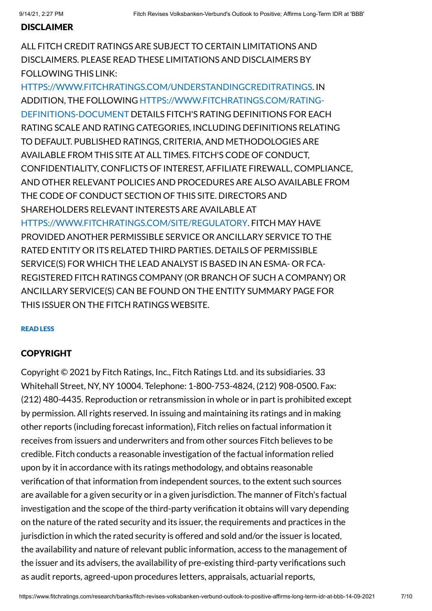## DISCLAIMER

ALL FITCH CREDIT RATINGS ARE SUBJECT TO CERTAIN LIMITATIONS AND DISCLAIMERS. PLEASE READ THESE LIMITATIONS AND DISCLAIMERS BY FOLLOWING THIS LINK:

[HTTPS://WWW.FITCHRATINGS.COM/UNDERSTANDINGCREDITRATINGS](https://www.fitchratings.com/UNDERSTANDINGCREDITRATINGS). IN ADDITION, THE FOLLOWING [HTTPS://WWW.FITCHRATINGS.COM/RATING-](https://www.fitchratings.com/rating-definitions-document)DEFINITIONS-DOCUMENT DETAILS FITCH'S RATING DEFINITIONS FOR EACH RATING SCALE AND RATING CATEGORIES, INCLUDING DEFINITIONS RELATING TO DEFAULT. PUBLISHED RATINGS, CRITERIA, AND METHODOLOGIES ARE AVAILABLE FROM THIS SITE AT ALL TIMES. FITCH'S CODE OF CONDUCT, CONFIDENTIALITY, CONFLICTS OF INTEREST, AFFILIATE FIREWALL, COMPLIANCE, AND OTHER RELEVANT POLICIES AND PROCEDURES ARE ALSO AVAILABLE FROM THE CODE OF CONDUCT SECTION OF THIS SITE. DIRECTORS AND SHAREHOLDERS RELEVANT INTERESTS ARE AVAILABLE AT [HTTPS://WWW.FITCHRATINGS.COM/SITE/REGULATORY](https://www.fitchratings.com/site/regulatory). FITCH MAY HAVE PROVIDED ANOTHER PERMISSIBLE SERVICE OR ANCILLARY SERVICE TO THE RATED ENTITY OR ITS RELATED THIRD PARTIES. DETAILS OF PERMISSIBLE SERVICE(S) FOR WHICH THE LEAD ANALYST IS BASED IN AN ESMA- OR FCA-REGISTERED FITCH RATINGS COMPANY (OR BRANCH OF SUCH A COMPANY) OR ANCILLARY SERVICE(S) CAN BE FOUND ON THE ENTITY SUMMARY PAGE FOR THIS ISSUER ON THE FITCH RATINGS WEBSITE.

### READ LESS

## COPYRIGHT

Copyright © 2021 by Fitch Ratings, Inc., Fitch Ratings Ltd. and its subsidiaries. 33 Whitehall Street, NY, NY 10004. Telephone: 1-800-753-4824, (212) 908-0500. Fax: (212) 480-4435. Reproduction or retransmission in whole or in part is prohibited except by permission. All rights reserved. In issuing and maintaining its ratings and in making other reports (including forecast information), Fitch relies on factual information it receives from issuers and underwriters and from other sources Fitch believes to be credible. Fitch conducts a reasonable investigation of the factual information relied upon by it in accordance with its ratings methodology, and obtains reasonable verification of that information from independent sources, to the extent such sources are available for a given security or in a given jurisdiction. The manner of Fitch's factual investigation and the scope of the third-party verification it obtains will vary depending on the nature of the rated security and its issuer, the requirements and practices in the jurisdiction in which the rated security is offered and sold and/or the issuer is located, the availability and nature of relevant public information, access to the management of the issuer and its advisers, the availability of pre-existing third-party verifications such as audit reports, agreed-upon procedures letters, appraisals, actuarial reports,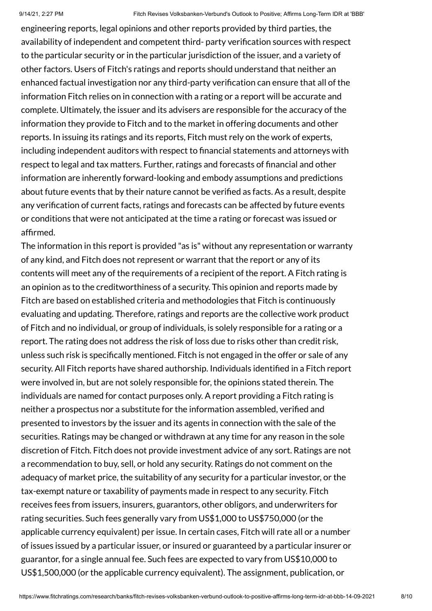engineering reports, legal opinions and other reports provided by third parties, the availability of independent and competent third- party verification sources with respect to the particular security or in the particular jurisdiction of the issuer, and a variety of other factors. Users of Fitch's ratings and reports should understand that neither an enhanced factual investigation nor any third-party verification can ensure that all of the information Fitch relies on in connection with a rating or a report will be accurate and complete. Ultimately, the issuer and its advisers are responsible for the accuracy of the information they provide to Fitch and to the market in offering documents and other reports. In issuing its ratings and its reports, Fitch must rely on the work of experts, including independent auditors with respect to financial statements and attorneys with respect to legal and tax matters. Further, ratings and forecasts of financial and other information are inherently forward-looking and embody assumptions and predictions about future events that by their nature cannot be verified as facts. As a result, despite any verification of current facts, ratings and forecasts can be affected by future events or conditions that were not anticipated at the time a rating or forecast was issued or affirmed.

The information in this report is provided "as is" without any representation or warranty of any kind, and Fitch does not represent or warrant that the report or any of its contents will meet any of the requirements of a recipient of the report. A Fitch rating is an opinion as to the creditworthiness of a security. This opinion and reports made by Fitch are based on established criteria and methodologies that Fitch is continuously evaluating and updating. Therefore, ratings and reports are the collective work product of Fitch and no individual, or group of individuals, is solely responsible for a rating or a report. The rating does not address the risk of loss due to risks other than credit risk, unless such risk is specifically mentioned. Fitch is not engaged in the offer or sale of any security. All Fitch reports have shared authorship. Individuals identified in a Fitch report were involved in, but are not solely responsible for, the opinions stated therein. The individuals are named for contact purposes only. A report providing a Fitch rating is neither a prospectus nor a substitute for the information assembled, verified and presented to investors by the issuer and its agents in connection with the sale of the securities. Ratings may be changed or withdrawn at any time for any reason in the sole discretion of Fitch. Fitch does not provide investment advice of any sort. Ratings are not a recommendation to buy, sell, or hold any security. Ratings do not comment on the adequacy of market price, the suitability of any security for a particular investor, or the tax-exempt nature or taxability of payments made in respect to any security. Fitch receives fees from issuers, insurers, guarantors, other obligors, and underwriters for rating securities. Such fees generally vary from US\$1,000 to US\$750,000 (or the applicable currency equivalent) per issue. In certain cases, Fitch will rate all or a number of issues issued by a particular issuer, or insured or guaranteed by a particular insurer or guarantor, for a single annual fee. Such fees are expected to vary from US\$10,000 to US\$1,500,000 (or the applicable currency equivalent). The assignment, publication, or